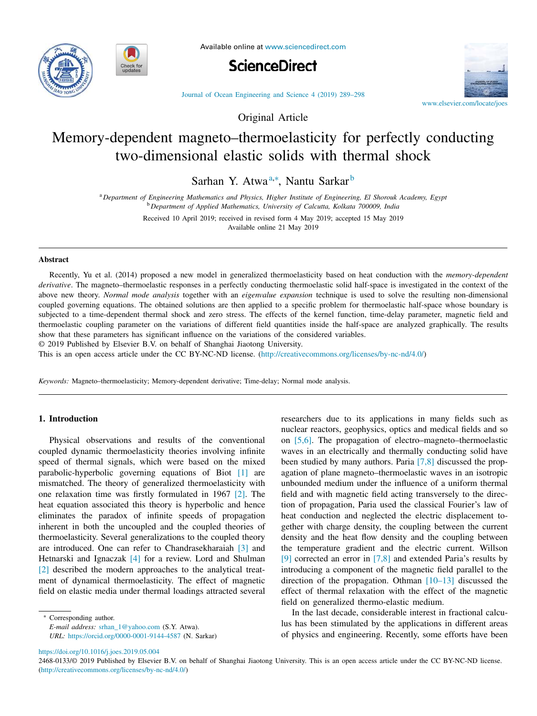



Available online at www.sciencedirect.com





Journal of Ocean Engineering and Science 4 (2019) 289–298

Original Article

# Memory-dependent magneto–thermoelasticity for perfectly conducting two-dimensional elastic solids with thermal shock

Sarhan Y. Atwa<sup>a,∗</sup>, Nantu Sarkar<sup>b</sup>

<sup>a</sup> *Department of Engineering Mathematics and Physics, Higher Institute of Engineering, El Shorouk Academy, Egypt* <sup>b</sup> *Department of Applied Mathematics, University of Calcutta, Kolkata 700009, India*

Received 10 April 2019; received in revised form 4 May 2019; accepted 15 May 2019

Available online 21 May 2019

#### **Abstract**

Recently, Yu et al. (2014) proposed a new model in generalized thermoelasticity based on heat conduction with the *memory-dependent derivative*. The magneto–thermoelastic responses in a perfectly conducting thermoelastic solid half-space is investigated in the context of the above new theory. *Normal mode analysis* together with an *eigenvalue expansion* technique is used to solve the resulting non-dimensional coupled governing equations. The obtained solutions are then applied to a specific problem for thermoelastic half-space whose boundary is subjected to a time-dependent thermal shock and zero stress. The effects of the kernel function, time-delay parameter, magnetic field and thermoelastic coupling parameter on the variations of different field quantities inside the half-space are analyzed graphically. The results show that these parameters has significant influence on the variations of the considered variables.

© 2019 Published by Elsevier B.V. on behalf of Shanghai Jiaotong University.

This is an open access article under the CC BY-NC-ND license. (http://creativecommons.org/licenses/by-nc-nd/4.0/)

*Keywords:* Magneto–thermoelasticity; Memory-dependent derivative; Time-delay; Normal mode analysis.

# **1. Introduction**

Physical observations and results of the conventional coupled dynamic thermoelasticity theories involving infinite speed of thermal signals, which were based on the mixed parabolic-hyperbolic governing equations of Biot [1] are mismatched. The theory of generalized thermoelasticity with one relaxation time was firstly formulated in 1967 [2]. The heat equation associated this theory is hyperbolic and hence eliminates the paradox of infinite speeds of propagation inherent in both the uncoupled and the coupled theories of thermoelasticity. Several generalizations to the coupled theory are introduced. One can refer to Chandrasekharaiah [3] and Hetnarski and Ignaczak [4] for a review. Lord and Shulman [2] described the modern approaches to the analytical treatment of dynamical thermoelasticity. The effect of magnetic field on elastic media under thermal loadings attracted several

∗ Corresponding author.

*E-mail address:* srhan\_1@yahoo.com (S.Y. Atwa).

*URL:* https://orcid.org/0000-0001-9144-4587 (N. Sarkar)

researchers due to its applications in many fields such as nuclear reactors, geophysics, optics and medical fields and so on [5,6]. The propagation of electro–magneto–thermoelastic waves in an electrically and thermally conducting solid have been studied by many authors. Paria [7,8] discussed the propagation of plane magneto–thermoelastic waves in an isotropic unbounded medium under the influence of a uniform thermal field and with magnetic field acting transversely to the direction of propagation, Paria used the classical Fourier's law of heat conduction and neglected the electric displacement together with charge density, the coupling between the current density and the heat flow density and the coupling between the temperature gradient and the electric current. Willson [9] corrected an error in [7,8] and extended Paria's results by introducing a component of the magnetic field parallel to the direction of the propagation. Othman [10–13] discussed the effect of thermal relaxation with the effect of the magnetic field on generalized thermo-elastic medium.

In the last decade, considerable interest in fractional calculus has been stimulated by the applications in different areas of physics and engineering. Recently, some efforts have been

https://doi.org/10.1016/j.joes.2019.05.004

2468-0133/© 2019 Published by Elsevier B.V. on behalf of Shanghai Jiaotong University. This is an open access article under the CC BY-NC-ND license. (http://creativecommons.org/licenses/by-nc-nd/4.0/)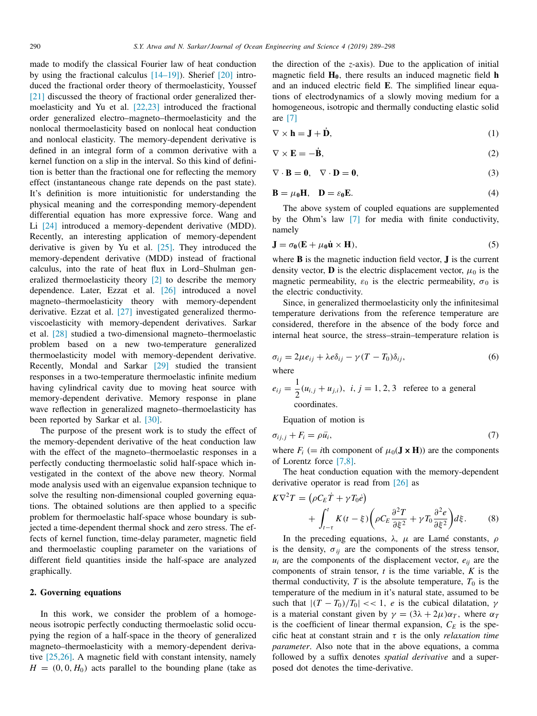made to modify the classical Fourier law of heat conduction by using the fractional calculus [14–19]). Sherief [20] introduced the fractional order theory of thermoelasticity, Youssef [21] discussed the theory of fractional order generalized thermoelasticity and Yu et al. [22,23] introduced the fractional order generalized electro–magneto–thermoelasticity and the nonlocal thermoelasticity based on nonlocal heat conduction and nonlocal elasticity. The memory-dependent derivative is defined in an integral form of a common derivative with a kernel function on a slip in the interval. So this kind of definition is better than the fractional one for reflecting the memory effect (instantaneous change rate depends on the past state). It's definition is more intuitionistic for understanding the physical meaning and the corresponding memory-dependent differential equation has more expressive force. Wang and Li [24] introduced a memory-dependent derivative (MDD). Recently, an interesting application of memory-dependent derivative is given by Yu et al. [25]. They introduced the memory-dependent derivative (MDD) instead of fractional calculus, into the rate of heat flux in Lord–Shulman generalized thermoelasticity theory [2] to describe the memory dependence. Later, Ezzat et al. [26] introduced a novel magneto–thermoelasticity theory with memory-dependent derivative. Ezzat et al. [27] investigated generalized thermoviscoelasticity with memory-dependent derivatives. Sarkar et al. [28] studied a two-dimensional magneto–thermoelastic problem based on a new two-temperature generalized thermoelasticity model with memory-dependent derivative. Recently, Mondal and Sarkar [29] studied the transient responses in a two-temperature thermoelastic infinite medium having cylindrical cavity due to moving heat source with memory-dependent derivative. Memory response in plane wave reflection in generalized magneto–thermoelasticity has been reported by Sarkar et al. [30].

The purpose of the present work is to study the effect of the memory-dependent derivative of the heat conduction law with the effect of the magneto–thermoelastic responses in a perfectly conducting thermoelastic solid half-space which investigated in the context of the above new theory. Normal mode analysis used with an eigenvalue expansion technique to solve the resulting non-dimensional coupled governing equations. The obtained solutions are then applied to a specific problem for thermoelastic half-space whose boundary is subjected a time-dependent thermal shock and zero stress. The effects of kernel function, time-delay parameter, magnetic field and thermoelastic coupling parameter on the variations of different field quantities inside the half-space are analyzed graphically.

### **2. Governing equations**

In this work, we consider the problem of a homogeneous isotropic perfectly conducting thermoelastic solid occupying the region of a half-space in the theory of generalized magneto–thermoelasticity with a memory-dependent derivative [25,26]. A magnetic field with constant intensity, namely  $H = (0, 0, H_0)$  acts parallel to the bounding plane (take as the direction of the *z*-axis). Due to the application of initial magnetic field **H0**, there results an induced magnetic field **h** and an induced electric field **E**. The simplified linear equations of electrodynamics of a slowly moving medium for a homogeneous, isotropic and thermally conducting elastic solid are [7]

$$
\nabla \times \mathbf{h} = \mathbf{J} + \dot{\mathbf{D}},\tag{1}
$$

$$
\nabla \times \mathbf{E} = -\dot{\mathbf{B}},\tag{2}
$$

$$
\nabla \cdot \mathbf{B} = \mathbf{0}, \quad \nabla \cdot \mathbf{D} = \mathbf{0}, \tag{3}
$$

$$
\mathbf{B} = \mu_0 \mathbf{H}, \quad \mathbf{D} = \varepsilon_0 \mathbf{E}.
$$
 (4)

The above system of coupled equations are supplemented by the Ohm's law [7] for media with finite conductivity, namely

$$
\mathbf{J} = \sigma_0 (\mathbf{E} + \mu_0 \dot{\mathbf{u}} \times \mathbf{H}), \tag{5}
$$

where **B** is the magnetic induction field vector, **J** is the current density vector, **D** is the electric displacement vector,  $\mu_0$  is the magnetic permeability,  $\varepsilon_0$  is the electric permeability,  $\sigma_0$  is the electric conductivity.

Since, in generalized thermoelasticity only the infinitesimal temperature derivations from the reference temperature are considered, therefore in the absence of the body force and internal heat source, the stress–strain–temperature relation is

$$
\sigma_{ij} = 2\mu e_{ij} + \lambda e \delta_{ij} - \gamma (T - T_0) \delta_{ij},
$$
\nwhere

 $e_{ij} = \frac{1}{2}$  $\frac{1}{2}(u_{i,j} + u_{j,i}), i, j = 1, 2, 3$  referee to a general coordinates.

Equation of motion is

$$
\sigma_{ij,j} + F_i = \rho \ddot{u_i},\tag{7}
$$

where  $F_i$  (= *i*th component of  $\mu_0(\mathbf{J} \times \mathbf{H})$ ) are the components of Lorentz force [7,8].

The heat conduction equation with the memory-dependent derivative operator is read from [26] as

$$
K\nabla^2 T = (\rho C_E \dot{T} + \gamma T_0 \dot{e})
$$
  
+ 
$$
\int_{t-\tau}^t K(t-\xi) \left(\rho C_E \frac{\partial^2 T}{\partial \xi^2} + \gamma T_0 \frac{\partial^2 e}{\partial \xi^2}\right) d\xi.
$$
 (8)

In the preceding equations,  $λ$ ,  $μ$  are Lamé constants,  $ρ$ is the density,  $\sigma_{ij}$  are the components of the stress tensor,  $u_i$  are the components of the displacement vector,  $e_{ii}$  are the components of strain tensor, *t* is the time variable, *K* is the thermal conductivity,  $T$  is the absolute temperature,  $T_0$  is the temperature of the medium in it's natural state, assumed to be such that  $|(T - T_0)/T_0| \lt \lt 1$ , *e* is the cubical dilatation,  $\gamma$ is a material constant given by  $\gamma = (3\lambda + 2\mu)\alpha_T$ , where  $\alpha_T$ is the coefficient of linear thermal expansion,  $C_E$  is the specific heat at constant strain and  $\tau$  is the only *relaxation time parameter*. Also note that in the above equations, a comma followed by a suffix denotes *spatial derivative* and a superposed dot denotes the time-derivative.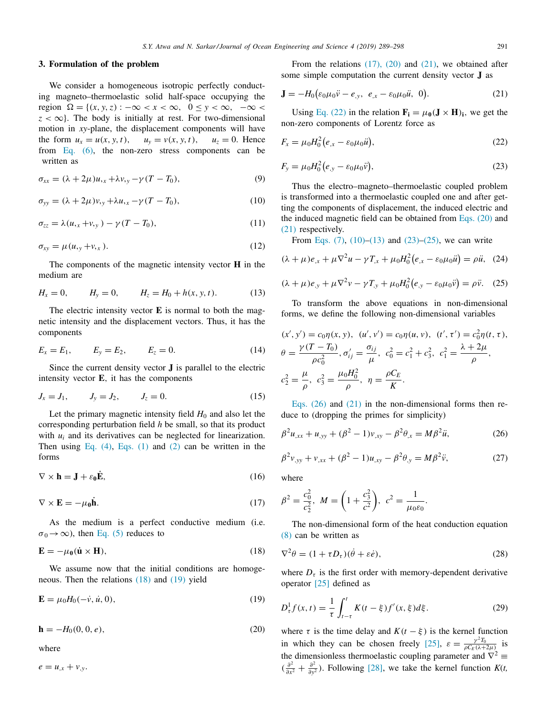#### **3. Formulation of the problem**

We consider a homogeneous isotropic perfectly conducting magneto–thermoelastic solid half-space occupying the region  $\Omega = \{(x, y, z) : -\infty < x < \infty, 0 \le y < \infty, -\infty <$  $z < \infty$ . The body is initially at rest. For two-dimensional motion in *xy*-plane, the displacement components will have the form  $u_x = u(x, y, t)$ ,  $u_y = v(x, y, t)$ ,  $u_z = 0$ . Hence from Eq. (6), the non-zero stress components can be written as

$$
\sigma_{xx} = (\lambda + 2\mu)u_{,x} + \lambda v_{,y} - \gamma (T - T_0), \tag{9}
$$

$$
\sigma_{yy} = (\lambda + 2\mu)v_{,y} + \lambda u_{,x} - \gamma (T - T_0), \qquad (10)
$$

$$
\sigma_{zz} = \lambda(u_{,x} + v_{,y}) - \gamma(T - T_0), \qquad (11)
$$

$$
\sigma_{xy} = \mu(u, y + v, x). \tag{12}
$$

The components of the magnetic intensity vector **H** in the medium are

$$
H_x = 0, \t H_y = 0, \t H_z = H_0 + h(x, y, t). \t (13)
$$

The electric intensity vector **E** is normal to both the magnetic intensity and the displacement vectors. Thus, it has the components

$$
E_x = E_1, \t E_y = E_2, \t E_z = 0.
$$
 (14)

Since the current density vector **J** is parallel to the electric intensity vector **E**, it has the components

$$
J_x = J_1,
$$
  $J_y = J_2,$   $J_z = 0.$  (15)

Let the primary magnetic intensity field  $H_0$  and also let the corresponding perturbation field *h* be small, so that its product with  $u_i$  and its derivatives can be neglected for linearization. Then using Eq.  $(4)$ , Eqs.  $(1)$  and  $(2)$  can be written in the forms

$$
\nabla \times \mathbf{h} = \mathbf{J} + \varepsilon_0 \dot{\mathbf{E}},\tag{16}
$$

$$
\nabla \times \mathbf{E} = -\mu_0 \dot{\mathbf{h}}.\tag{17}
$$

As the medium is a perfect conductive medium (i.e.  $\sigma_0 \rightarrow \infty$ ), then Eq. (5) reduces to

$$
\mathbf{E} = -\mu_0 (\dot{\mathbf{u}} \times \mathbf{H}),\tag{18}
$$

We assume now that the initial conditions are homogeneous. Then the relations (18) and (19) yield

$$
\mathbf{E} = \mu_0 H_0(-\dot{v}, \dot{u}, 0),\tag{19}
$$

**h** =  $-H_0(0, 0, e)$ , (20)

where

$$
e=u_{,x}+v_{,y}.
$$

From the relations  $(17)$ ,  $(20)$  and  $(21)$ , we obtained after some simple computation the current density vector **J** as

$$
\mathbf{J} = -H_0 \big( \varepsilon_0 \mu_0 \ddot{v} - e_{,y}, \ e_{,x} - \varepsilon_0 \mu_0 \ddot{u}, \ 0 \big). \tag{21}
$$

Using Eq. (22) in the relation  $\mathbf{F_i} = \mu_0 (\mathbf{J} \times \mathbf{H})_i$ , we get the non-zero components of Lorentz force as

$$
F_x = \mu_0 H_0^2 (e_{,x} - \varepsilon_0 \mu_0 \ddot{u}), \tag{22}
$$

$$
F_{y} = \mu_0 H_0^2 (e_{,y} - \varepsilon_0 \mu_0 \ddot{v}), \tag{23}
$$

Thus the electro–magneto–thermoelastic coupled problem is transformed into a thermoelastic coupled one and after getting the components of displacement, the induced electric and the induced magnetic field can be obtained from Eqs. (20) and (21) respectively.

From Eqs. (7), (10)–(13) and (23)–(25), we can write

$$
(\lambda + \mu)e_{,x} + \mu \nabla^2 u - \gamma T_{,x} + \mu_0 H_0^2 (e_{,x} - \varepsilon_0 \mu_0 \ddot{u}) = \rho \ddot{u}, \tag{24}
$$

$$
(\lambda + \mu)e_{,y} + \mu \nabla^2 v - \gamma T_{,y} + \mu_0 H_0^2 (e_{,y} - \varepsilon_0 \mu_0 \ddot{v}) = \rho \ddot{v}.
$$
 (25)

To transform the above equations in non-dimensional forms, we define the following non-dimensional variables

$$
(x', y') = c_0 \eta(x, y), \quad (u', v') = c_0 \eta(u, v), \quad (t', \tau') = c_0^2 \eta(t, \tau),
$$
  
\n
$$
\theta = \frac{\gamma(T - T_0)}{\rho c_0^2}, \quad \sigma'_{ij} = \frac{\sigma_{ij}}{\mu}, \quad c_0^2 = c_1^2 + c_3^2, \quad c_1^2 = \frac{\lambda + 2\mu}{\rho},
$$
  
\n
$$
c_2^2 = \frac{\mu}{\rho}, \quad c_3^2 = \frac{\mu_0 H_0^2}{\rho}, \quad \eta = \frac{\rho C_E}{K}.
$$

Eqs. (26) and (21) in the non-dimensional forms then reduce to (dropping the primes for simplicity)

$$
\beta^2 u_{,xx} + u_{,yy} + (\beta^2 - 1)v_{,xy} - \beta^2 \theta_{,x} = M\beta^2 \ddot{u},\tag{26}
$$

$$
\beta^{2}v_{,yy} + v_{,xx} + (\beta^{2} - 1)u_{,xy} - \beta^{2}\theta_{,y} = M\beta^{2}\ddot{v},
$$
 (27)

where

$$
\beta^2 = \frac{c_0^2}{c_2^2}, \ M = \left(1 + \frac{c_3^2}{c^2}\right), \ c^2 = \frac{1}{\mu_0 \varepsilon_0}.
$$

The non-dimensional form of the heat conduction equation (8) can be written as

$$
\nabla^2 \theta = (1 + \tau D_\tau)(\dot{\theta} + \varepsilon \dot{e}),\tag{28}
$$

where  $D<sub>\tau</sub>$  is the first order with memory-dependent derivative operator [25] defined as

$$
D_{\tau}^{1}f(x,t) = \frac{1}{\tau} \int_{t-\tau}^{t} K(t-\xi) f'(x,\xi) d\xi.
$$
 (29)

where  $\tau$  is the time delay and  $K(t - \xi)$  is the kernel function in which they can be chosen freely [25],  $\varepsilon = \frac{\gamma^2 T_0}{\rho C_E (\lambda + 2\mu)}$  is the dimensionless thermoelastic coupling parameter and  $\nabla^2 \equiv$  $\left(\frac{\partial^2}{\partial x}\right)$  $rac{\partial^2}{\partial x^2} + \frac{\partial^2}{\partial y}$  $\frac{\partial^2}{\partial y^2}$ ). Following [28], we take the kernel function *K*(*t*,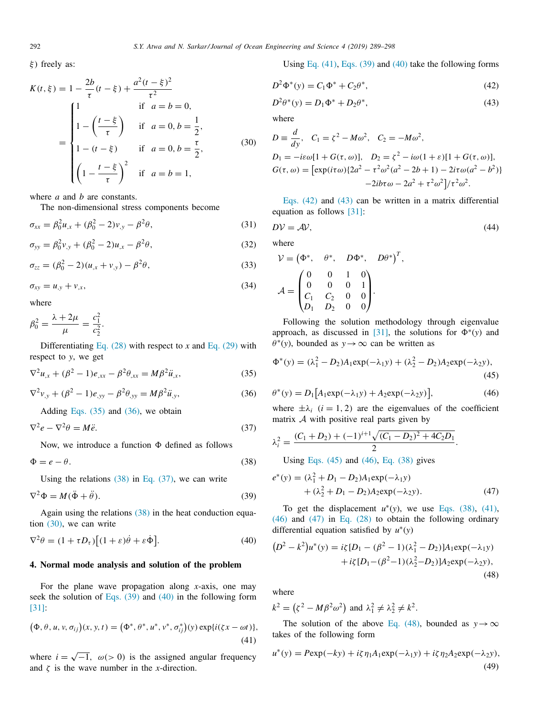ξ) freely as:

$$
K(t, \xi) = 1 - \frac{2b}{\tau}(t - \xi) + \frac{a^2(t - \xi)^2}{\tau^2}
$$
  
= 
$$
\begin{cases} 1 & \text{if } a = b = 0, \\ 1 - \left(\frac{t - \xi}{\tau}\right) & \text{if } a = 0, b = \frac{1}{2}, \\ 1 - (t - \xi) & \text{if } a = 0, b = \frac{\tau}{2}, \\ \left(1 - \frac{t - \xi}{\tau}\right)^2 & \text{if } a = b = 1, \end{cases}
$$
(30)

where *a* and *b* are constants.

The non-dimensional stress components become

$$
\sigma_{xx} = \beta_0^2 u_{,x} + (\beta_0^2 - 2)v_{,y} - \beta^2 \theta,
$$
\n(31)

$$
\sigma_{yy} = \beta_0^2 v_{,y} + (\beta_0^2 - 2)u_{,x} - \beta^2 \theta,
$$
\n(32)

$$
\sigma_{zz} = (\beta_0^2 - 2)(u_{,x} + v_{,y}) - \beta^2 \theta, \tag{33}
$$

$$
\sigma_{xy} = u_{,y} + v_{,x},\tag{34}
$$

where

$$
\beta_0^2 = \frac{\lambda + 2\mu}{\mu} = \frac{c_1^2}{c_2^2}.
$$

Differentiating Eq.  $(28)$  with respect to *x* and Eq.  $(29)$  with respect to *y*, we get

$$
\nabla^2 u_{,x} + (\beta^2 - 1)e_{,xx} - \beta^2 \theta_{,xx} = M\beta^2 \ddot{u}_{,x},
$$
\n(35)

$$
\nabla^2 v_{,y} + (\beta^2 - 1)e_{,yy} - \beta^2 \theta_{,yy} = M\beta^2 \ddot{u}_{,y},
$$
 (36)

Adding Eqs.  $(35)$  and  $(36)$ , we obtain

$$
\nabla^2 e - \nabla^2 \theta = M \ddot{e}.\tag{37}
$$

Now, we introduce a function  $\Phi$  defined as follows

$$
\Phi = e - \theta. \tag{38}
$$

Using the relations  $(38)$  in Eq.  $(37)$ , we can write

$$
\nabla^2 \Phi = M(\ddot{\Phi} + \ddot{\theta}).\tag{39}
$$

Again using the relations (38) in the heat conduction equation (30), we can write

$$
\nabla^2 \theta = (1 + \tau D_\tau) \big[ (1 + \varepsilon) \dot{\theta} + \varepsilon \dot{\Phi} \big]. \tag{40}
$$

## **4. Normal mode analysis and solution of the problem**

For the plane wave propagation along *x*-axis, one may seek the solution of Eqs.  $(39)$  and  $(40)$  in the following form [31]:

$$
(\Phi, \theta, u, v, \sigma_{ij})(x, y, t) = (\Phi^*, \theta^*, u^*, v^*, \sigma_{ij}^*)(y) \exp\{i(\zeta x - \omega t)\},\tag{41}
$$

where  $i = \sqrt{-1}$ ,  $\omega$ (> 0) is the assigned angular frequency and  $\zeta$  is the wave number in the *x*-direction.

Using Eq. 
$$
(41)
$$
, Eqs.  $(39)$  and  $(40)$  take the following forms

$$
D^2 \Phi^*(y) = C_1 \Phi^* + C_2 \theta^*,
$$
\n(42)

$$
D^2 \theta^*(y) = D_1 \Phi^* + D_2 \theta^*,
$$
\n(43)

where

$$
D \equiv \frac{d}{dy}, \quad C_1 = \zeta^2 - M\omega^2, \quad C_2 = -M\omega^2,
$$
  
\n
$$
D_1 = -i\varepsilon\omega[1 + G(\tau, \omega)], \quad D_2 = \zeta^2 - i\omega(1 + \varepsilon)[1 + G(\tau, \omega)],
$$
  
\n
$$
G(\tau, \omega) = [\exp(i\tau\omega)\{2a^2 - \tau^2\omega^2(a^2 - 2b + 1) - 2i\tau\omega(a^2 - b^2)\} - 2i b\tau\omega - 2a^2 + \tau^2\omega^2]/\tau^2\omega^2.
$$

Eqs. (42) and (43) can be written in a matrix differential equation as follows [31]:

$$
DV = AV,\t\t(44)
$$

where

$$
\mathcal{V} = (\Phi^*, \quad \theta^*, \quad D\Phi^*, \quad D\theta^*)^T,
$$

$$
\mathcal{A} = \begin{pmatrix} 0 & 0 & 1 & 0 \\ 0 & 0 & 0 & 1 \\ C_1 & C_2 & 0 & 0 \\ D_1 & D_2 & 0 & 0 \end{pmatrix}.
$$

Following the solution methodology through eigenvalue approach, as discussed in [31], the solutions for  $\Phi^*(y)$  and  $\theta^*(y)$ , bounded as  $y \to \infty$  can be written as

$$
\Phi^*(y) = (\lambda_1^2 - D_2)A_1 \exp(-\lambda_1 y) + (\lambda_2^2 - D_2)A_2 \exp(-\lambda_2 y),
$$
\n(45)

$$
\theta^*(y) = D_1[A_1 \exp(-\lambda_1 y) + A_2 \exp(-\lambda_2 y)], \qquad (46)
$$

where  $\pm \lambda_i$  (*i* = 1, 2) are the eigenvalues of the coefficient matrix  $A$  with positive real parts given by

$$
\lambda_i^2 = \frac{(C_1 + D_2) + (-1)^{i+1}\sqrt{(C_1 - D_2)^2 + 4C_2D_1}}{2}.
$$
  
Using Eqs. (45) and (46), Eq. (38) gives

$$
e^*(y) = (\lambda_1^2 + D_1 - D_2)A_1 \exp(-\lambda_1 y) + (\lambda_2^2 + D_1 - D_2)A_2 \exp(-\lambda_2 y).
$$
 (47)

To get the displacement  $u^*(y)$ , we use Eqs. (38), (41), (46) and (47) in Eq. (28) to obtain the following ordinary differential equation satisfied by  $u^*(y)$ 

$$
(D2 - k2)u*(y) = i\zeta [D1 - (\beta2 - 1)(\lambda12 - D2)]A1exp(-\lambda1y)+ i\zeta [D1 - (\beta2 - 1)(\lambda22 - D2)]A2exp(-\lambda2y),
$$
\n(48)

where

 $k^2 = (\zeta^2 - M\beta^2\omega^2)$  and  $\lambda_1^2 \neq \lambda_2^2 \neq k^2$ .

The solution of the above Eq. (48), bounded as  $y \rightarrow \infty$ takes of the following form

$$
u^*(y) = P \exp(-ky) + i\zeta \eta_1 A_1 \exp(-\lambda_1 y) + i\zeta \eta_2 A_2 \exp(-\lambda_2 y),
$$
\n(49)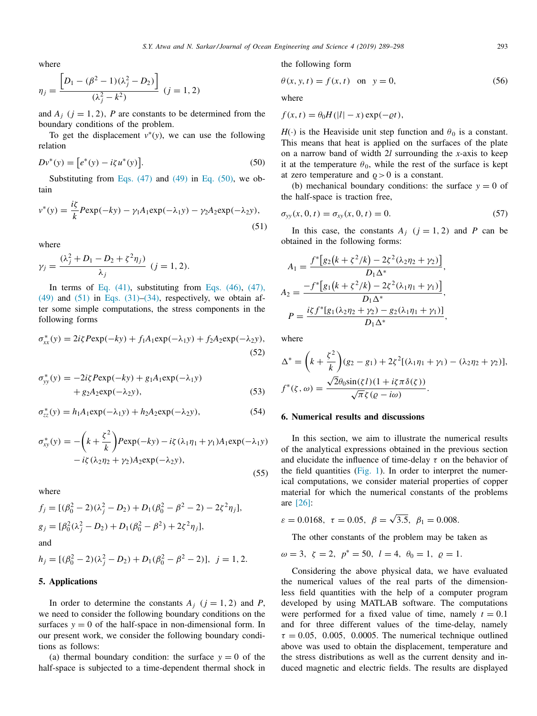where

$$
\eta_j = \frac{\left[D_1 - (\beta^2 - 1)(\lambda_j^2 - D_2)\right]}{(\lambda_j^2 - k^2)} \quad (j = 1, 2)
$$

and  $A_j$  ( $j = 1, 2$ ),  $P$  are constants to be determined from the boundary conditions of the problem.

To get the displacement  $v^*(y)$ , we can use the following relation

$$
Dv^*(y) = [e^*(y) - i\zeta u^*(y)].
$$
\n(50)

Substituting from Eqs.  $(47)$  and  $(49)$  in Eq.  $(50)$ , we obtain

$$
v^*(y) = \frac{iz}{k} P \exp(-ky) - \gamma_1 A_1 \exp(-\lambda_1 y) - \gamma_2 A_2 \exp(-\lambda_2 y),
$$
\n(51)

where

$$
\gamma_j = \frac{(\lambda_j^2 + D_1 - D_2 + \zeta^2 \eta_j)}{\lambda_j} \ (j = 1, 2).
$$

In terms of Eq.  $(41)$ , substituting from Eqs.  $(46)$ ,  $(47)$ ,  $(49)$  and  $(51)$  in Eqs.  $(31)$ – $(34)$ , respectively, we obtain after some simple computations, the stress components in the following forms

$$
\sigma_{xx}^*(y) = 2i\zeta P \exp(-ky) + f_1 A_1 \exp(-\lambda_1 y) + f_2 A_2 \exp(-\lambda_2 y),
$$
\n(52)

$$
\sigma_{yy}^*(y) = -2i\zeta P \exp(-ky) + g_1 A_1 \exp(-\lambda_1 y) + g_2 A_2 \exp(-\lambda_2 y),
$$
\n(53)

$$
\sigma_{zz}^*(y) = h_1 A_1 \exp(-\lambda_1 y) + h_2 A_2 \exp(-\lambda_2 y), \tag{54}
$$

$$
\sigma_{xy}^*(y) = -\left(k + \frac{\zeta^2}{k}\right) P \exp(-ky) - i\zeta (\lambda_1 \eta_1 + \gamma_1) A_1 \exp(-\lambda_1 y) - i\zeta (\lambda_2 \eta_2 + \gamma_2) A_2 \exp(-\lambda_2 y),
$$
\n(55)

where

$$
f_j = [(\beta_0^2 - 2)(\lambda_j^2 - D_2) + D_1(\beta_0^2 - \beta^2 - 2) - 2\zeta^2 \eta_j],
$$
  
\n
$$
g_j = [\beta_0^2(\lambda_j^2 - D_2) + D_1(\beta_0^2 - \beta^2) + 2\zeta^2 \eta_j],
$$
  
\nand

$$
h_j = [(\beta_0^2 - 2)(\lambda_j^2 - D_2) + D_1(\beta_0^2 - \beta^2 - 2)], \ j = 1, 2.
$$

# **5. Applications**

In order to determine the constants  $A_i$  ( $i = 1, 2$ ) and *P*, we need to consider the following boundary conditions on the surfaces  $y = 0$  of the half-space in non-dimensional form. In our present work, we consider the following boundary conditions as follows:

(a) thermal boundary condition: the surface  $y = 0$  of the half-space is subjected to a time-dependent thermal shock in the following form

$$
\theta(x, y, t) = f(x, t) \quad \text{on} \quad y = 0,\tag{56}
$$

where

 $f(x,t) = \theta_0 H(|l| - x) \exp(-\rho t),$ 

 $H(\cdot)$  is the Heaviside unit step function and  $\theta_0$  is a constant. This means that heat is applied on the surfaces of the plate on a narrow band of width 2*l* surrounding the *x*-axis to keep it at the temperature  $\theta_0$ , while the rest of the surface is kept at zero temperature and  $\rho > 0$  is a constant.

(b) mechanical boundary conditions: the surface  $y = 0$  of the half-space is traction free,

$$
\sigma_{yy}(x, 0, t) = \sigma_{xy}(x, 0, t) = 0.
$$
\n(57)

In this case, the constants  $A_i$  ( $i = 1, 2$ ) and P can be obtained in the following forms:

$$
A_1 = \frac{f^*[g_2(k+\xi^2/k) - 2\xi^2(\lambda_2\eta_2 + \gamma_2)]}{D_1\Delta^*},
$$
  
\n
$$
A_2 = \frac{-f^*[g_1(k+\xi^2/k) - 2\xi^2(\lambda_1\eta_1 + \gamma_1)]}{D_1\Delta^*},
$$
  
\n
$$
P = \frac{i\xi f^*[g_1(\lambda_2\eta_2 + \gamma_2) - g_2(\lambda_1\eta_1 + \gamma_1)]}{D_1\Delta^*},
$$

where

$$
\Delta^* = \left(k + \frac{\zeta^2}{k}\right)(g_2 - g_1) + 2\zeta^2[(\lambda_1\eta_1 + \gamma_1) - (\lambda_2\eta_2 + \gamma_2)],
$$
  

$$
f^*(\zeta, \omega) = \frac{\sqrt{2}\theta_0 \sin(\zeta l)(1 + i\zeta\pi\delta(\zeta))}{\sqrt{\pi}\zeta(\varrho - i\omega)}.
$$

### **6. Numerical results and discussions**

In this section, we aim to illustrate the numerical results of the analytical expressions obtained in the previous section and elucidate the influence of time-delay  $\tau$  on the behavior of the field quantities (Fig. 1). In order to interpret the numerical computations, we consider material properties of copper material for which the numerical constants of the problems are [26]:

$$
\varepsilon = 0.0168, \ \tau = 0.05, \ \beta = \sqrt{3.5}, \ \beta_1 = 0.008.
$$

The other constants of the problem may be taken as

$$
\omega = 3, \zeta = 2, p^* = 50, l = 4, \theta_0 = 1, \varrho = 1.
$$

Considering the above physical data, we have evaluated the numerical values of the real parts of the dimensionless field quantities with the help of a computer program developed by using MATLAB software. The computations were performed for a fixed value of time, namely  $t = 0.1$ and for three different values of the time-delay, namely  $\tau = 0.05$ , 0.005, 0.0005. The numerical technique outlined above was used to obtain the displacement, temperature and the stress distributions as well as the current density and induced magnetic and electric fields. The results are displayed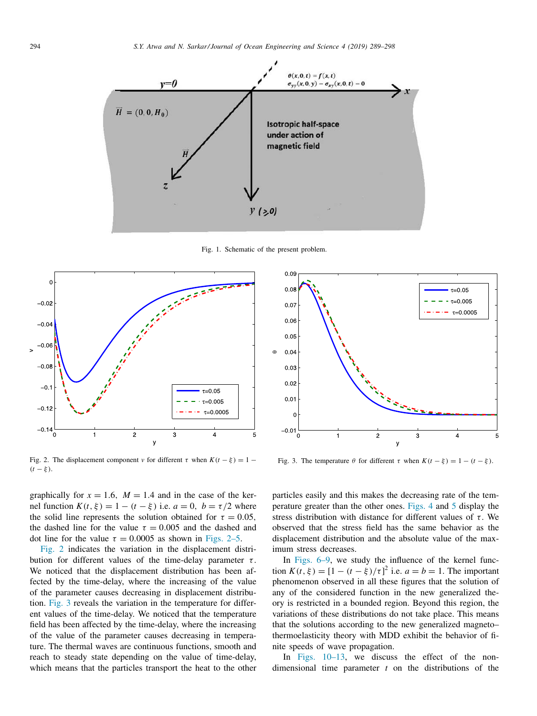

Fig. 1. Schematic of the present problem.



Fig. 2. The displacement component *v* for different  $\tau$  when  $K(t - \xi) = 1 (t - \xi)$ .

graphically for  $x = 1.6$ ,  $M = 1.4$  and in the case of the kernel function  $K(t, \xi) = 1 - (t - \xi)$  i.e.  $a = 0$ ,  $b = \tau/2$  where the solid line represents the solution obtained for  $\tau = 0.05$ , the dashed line for the value  $\tau = 0.005$  and the dashed and dot line for the value  $\tau = 0.0005$  as shown in Figs. 2–5.

Fig. 2 indicates the variation in the displacement distribution for different values of the time-delay parameter  $\tau$ . We noticed that the displacement distribution has been affected by the time-delay, where the increasing of the value of the parameter causes decreasing in displacement distribution. Fig. 3 reveals the variation in the temperature for different values of the time-delay. We noticed that the temperature field has been affected by the time-delay, where the increasing of the value of the parameter causes decreasing in temperature. The thermal waves are continuous functions, smooth and reach to steady state depending on the value of time-delay, which means that the particles transport the heat to the other



Fig. 3. The temperature  $\theta$  for different  $\tau$  when  $K(t - \xi) = 1 - (t - \xi)$ .

particles easily and this makes the decreasing rate of the temperature greater than the other ones. Figs. 4 and 5 display the stress distribution with distance for different values of  $\tau$ . We observed that the stress field has the same behavior as the displacement distribution and the absolute value of the maximum stress decreases.

In Figs. 6–9, we study the influence of the kernel function  $K(t, \xi) = [1 - (t - \xi)/\tau]^2$  i.e.  $a = b = 1$ . The important phenomenon observed in all these figures that the solution of any of the considered function in the new generalized theory is restricted in a bounded region. Beyond this region, the variations of these distributions do not take place. This means that the solutions according to the new generalized magneto– thermoelasticity theory with MDD exhibit the behavior of finite speeds of wave propagation.

In Figs. 10–13, we discuss the effect of the nondimensional time parameter *t* on the distributions of the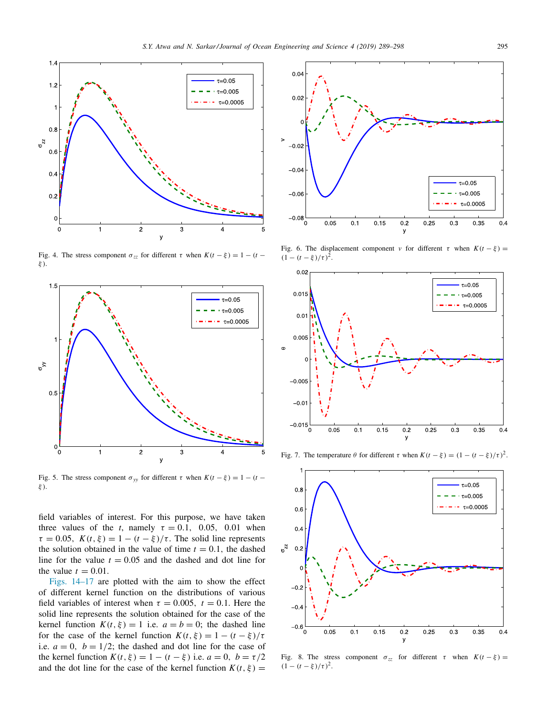

Fig. 4. The stress component  $\sigma_{zz}$  for different  $\tau$  when  $K(t - \xi) = 1 - (t - \xi)$ ξ ).



Fig. 5. The stress component  $\sigma_{yy}$  for different  $\tau$  when  $K(t - \xi) = 1 - (t - \xi)$ ξ ).

field variables of interest. For this purpose, we have taken three values of the *t*, namely  $\tau = 0.1$ , 0.05, 0.01 when  $\tau = 0.05$ ,  $K(t, \xi) = 1 - (t - \xi)/\tau$ . The solid line represents the solution obtained in the value of time  $t = 0.1$ , the dashed line for the value  $t = 0.05$  and the dashed and dot line for the value  $t = 0.01$ .

Figs. 14–17 are plotted with the aim to show the effect of different kernel function on the distributions of various field variables of interest when  $\tau = 0.005$ ,  $t = 0.1$ . Here the solid line represents the solution obtained for the case of the kernel function  $K(t, \xi) = 1$  i.e.  $a = b = 0$ ; the dashed line for the case of the kernel function  $K(t, \xi) = 1 - (t - \xi)/\tau$ i.e.  $a = 0$ ,  $b = 1/2$ ; the dashed and dot line for the case of the kernel function  $K(t, \xi) = 1 - (t - \xi)$  i.e.  $a = 0$ ,  $b = \tau/2$ and the dot line for the case of the kernel function  $K(t, \xi) =$ 



Fig. 6. The displacement component *v* for different  $\tau$  when  $K(t - \xi)$  =  $(1 - (t - \xi)/\tau)^2$ .



Fig. 7. The temperature  $θ$  for different  $τ$  when  $K(t - \xi) = (1 - (t - \xi)/τ)^2$ .



Fig. 8. The stress component  $\sigma_{zz}$  for different  $\tau$  when  $K(t - \xi) =$  $(1 - (t - \xi)/\tau)^2$ .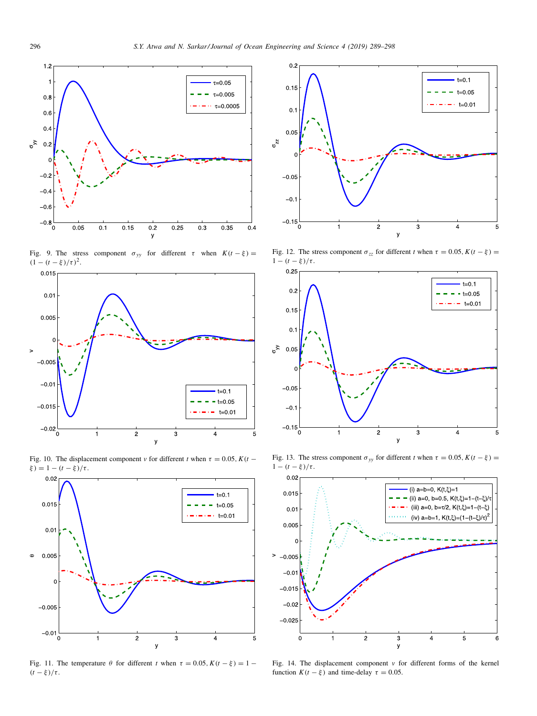

Fig. 9. The stress component  $\sigma_{yy}$  for different  $\tau$  when  $K(t - \xi) =$  $(1 - (t - \xi)/\tau)^2$ .



Fig. 10. The displacement component *v* for different *t* when  $\tau = 0.05$ ,  $K(t -$ 



Fig. 11. The temperature  $\theta$  for different *t* when  $\tau = 0.05$ ,  $K(t - \xi) = 1 (t - \xi)/\tau$ .



Fig. 12. The stress component  $\sigma_{zz}$  for different *t* when  $\tau = 0.05$ ,  $K(t - \xi) =$ 



Fig. 13. The stress component  $\sigma_{yy}$  for different *t* when  $\tau = 0.05$ ,  $K(t - \xi) =$ 



Fig. 14. The displacement component *v* for different forms of the kernel function  $K(t - \xi)$  and time-delay  $\tau = 0.05$ .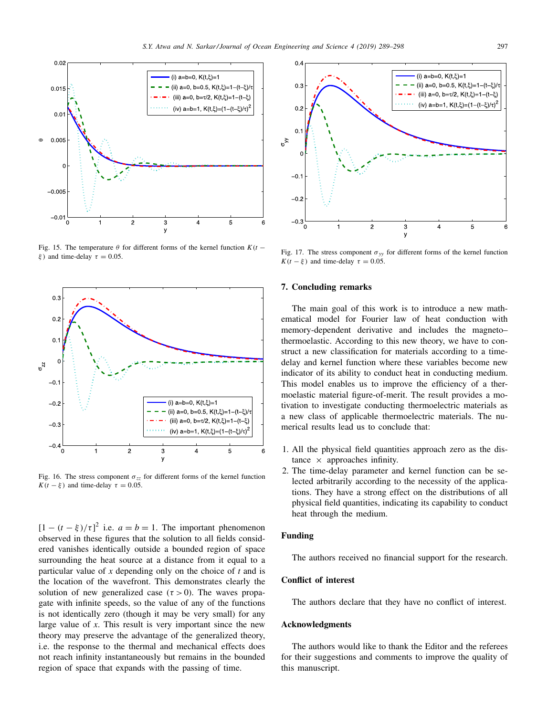

Fig. 15. The temperature  $\theta$  for different forms of the kernel function  $K(t \xi$ ) and time-delay  $\tau = 0.05$ .



Fig. 16. The stress component  $\sigma_{zz}$  for different forms of the kernel function  $K(t - \xi)$  and time-delay  $\tau = 0.05$ .

 $[1 - (t - \xi)/\tau]^2$  i.e.  $a = b = 1$ . The important phenomenon observed in these figures that the solution to all fields considered vanishes identically outside a bounded region of space surrounding the heat source at a distance from it equal to a particular value of *x* depending only on the choice of *t* and is the location of the wavefront. This demonstrates clearly the solution of new generalized case ( $\tau > 0$ ). The waves propagate with infinite speeds, so the value of any of the functions is not identically zero (though it may be very small) for any large value of *x*. This result is very important since the new theory may preserve the advantage of the generalized theory, i.e. the response to the thermal and mechanical effects does not reach infinity instantaneously but remains in the bounded region of space that expands with the passing of time.



Fig. 17. The stress component  $\sigma_{yy}$  for different forms of the kernel function  $K(t - \xi)$  and time-delay  $\tau = 0.05$ .

# **7. Concluding remarks**

The main goal of this work is to introduce a new mathematical model for Fourier law of heat conduction with memory-dependent derivative and includes the magneto– thermoelastic. According to this new theory, we have to construct a new classification for materials according to a timedelay and kernel function where these variables become new indicator of its ability to conduct heat in conducting medium. This model enables us to improve the efficiency of a thermoelastic material figure-of-merit. The result provides a motivation to investigate conducting thermoelectric materials as a new class of applicable thermoelectric materials. The numerical results lead us to conclude that:

- 1. All the physical field quantities approach zero as the distance  $\times$  approaches infinity.
- 2. The time-delay parameter and kernel function can be selected arbitrarily according to the necessity of the applications. They have a strong effect on the distributions of all physical field quantities, indicating its capability to conduct heat through the medium.

#### **Funding**

The authors received no financial support for the research.

## **Conflict of interest**

The authors declare that they have no conflict of interest.

#### **Acknowledgments**

The authors would like to thank the Editor and the referees for their suggestions and comments to improve the quality of this manuscript.